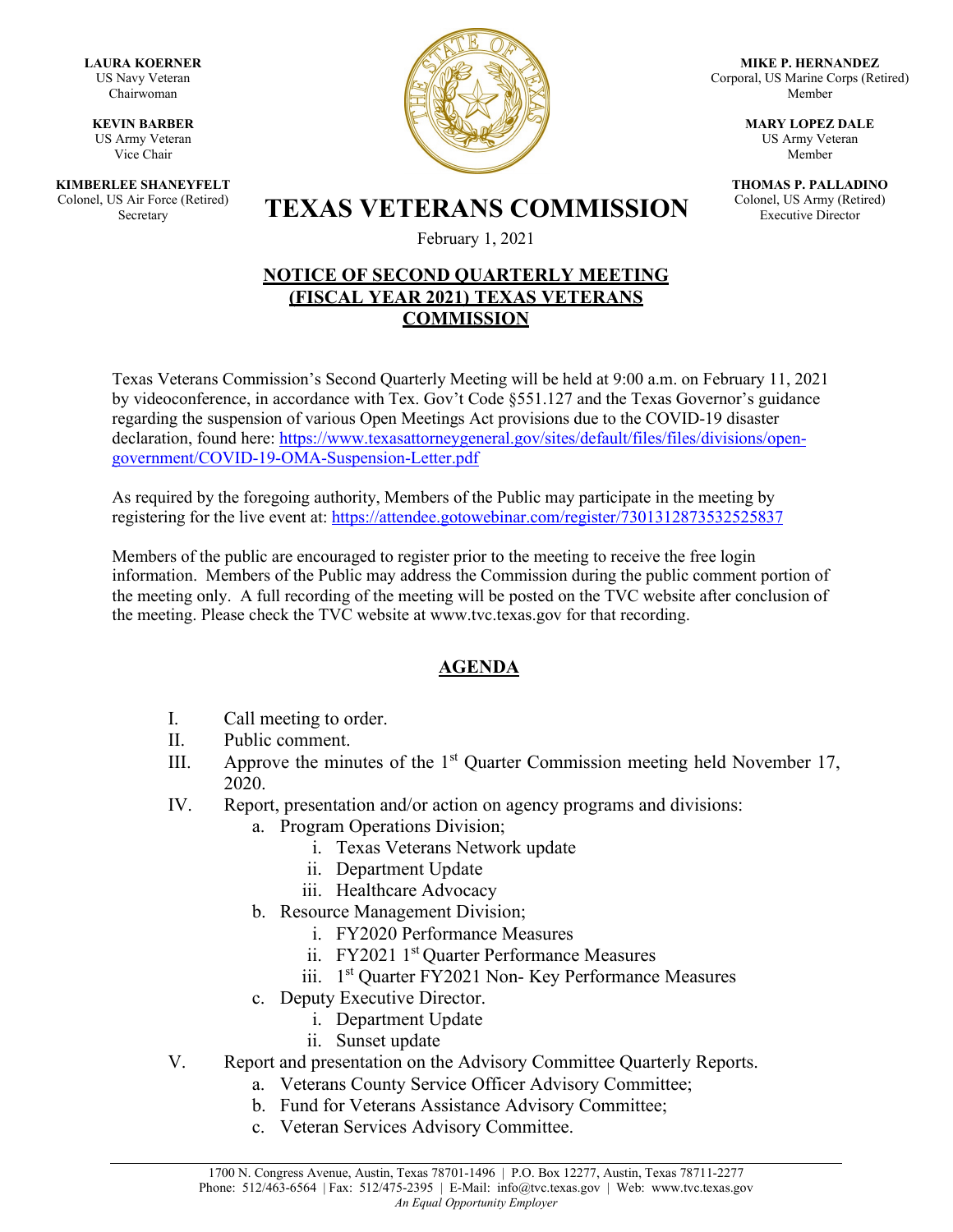**LAURA KOERNER** US Navy Veteran Chairwoman

**KEVIN BARBER** US Army Veteran Vice Chair

**KIMBERLEE SHANEYFELT** Colonel, US Air Force (Retired)



**MIKE P. HERNANDEZ** Corporal, US Marine Corps (Retired) Member

> **MARY LOPEZ DALE** US Army Veteran Member

**THOMAS P. PALLADINO** Colonel, US Army (Retired) Executive Director

S Air Force (Retired) **TEXAS VETERANS COMMISSION** 

February 1, 2021

## **NOTICE OF SECOND QUARTERLY MEETING (FISCAL YEAR 2021) TEXAS VETERANS COMMISSION**

Texas Veterans Commission's Second Quarterly Meeting will be held at 9:00 a.m. on February 11, 2021 by videoconference, in accordance with Tex. Gov't Code §551.127 and the Texas Governor's guidance regarding the suspension of various Open Meetings Act provisions due to the COVID-19 disaster declaration, found here: [https://www.texasattorneygeneral.gov/sites/default/files/files/divisions/open](https://www.texasattorneygeneral.gov/sites/default/files/files/divisions/open-government/COVID-19-OMA-Suspension-Letter.pdf)[government/COVID-19-OMA-Suspension-Letter.pdf](https://www.texasattorneygeneral.gov/sites/default/files/files/divisions/open-government/COVID-19-OMA-Suspension-Letter.pdf)

As required by the foregoing authority, Members of the Public may participate in the meeting by registering for the live event at: <https://attendee.gotowebinar.com/register/7301312873532525837>

Members of the public are encouraged to register prior to the meeting to receive the free login information. Members of the Public may address the Commission during the public comment portion of the meeting only. A full recording of the meeting will be posted on the TVC website after conclusion of the meeting. Please check the TVC website at [www.tvc.texas.gov](http://www.tvc.texas.gov/) for that recording.

## **AGENDA**

- I. Call meeting to order.
- II. Public comment.
- III. Approve the minutes of the  $1<sup>st</sup>$  Quarter Commission meeting held November 17, 2020.
- IV. Report, presentation and/or action on agency programs and divisions:
	- a. Program Operations Division;
		- i. Texas Veterans Network update
		- ii. Department Update
		- iii. Healthcare Advocacy
	- b. Resource Management Division;
		- i. FY2020 Performance Measures
		- ii. FY2021 1<sup>st</sup> Quarter Performance Measures
		- iii. 1<sup>st</sup> Quarter FY2021 Non- Key Performance Measures
	- c. Deputy Executive Director.
		- i. Department Update
			- ii. Sunset update
- V. Report and presentation on the Advisory Committee Quarterly Reports.
	- a. Veterans County Service Officer Advisory Committee;
	- b. Fund for Veterans Assistance Advisory Committee;
	- c. Veteran Services Advisory Committee.